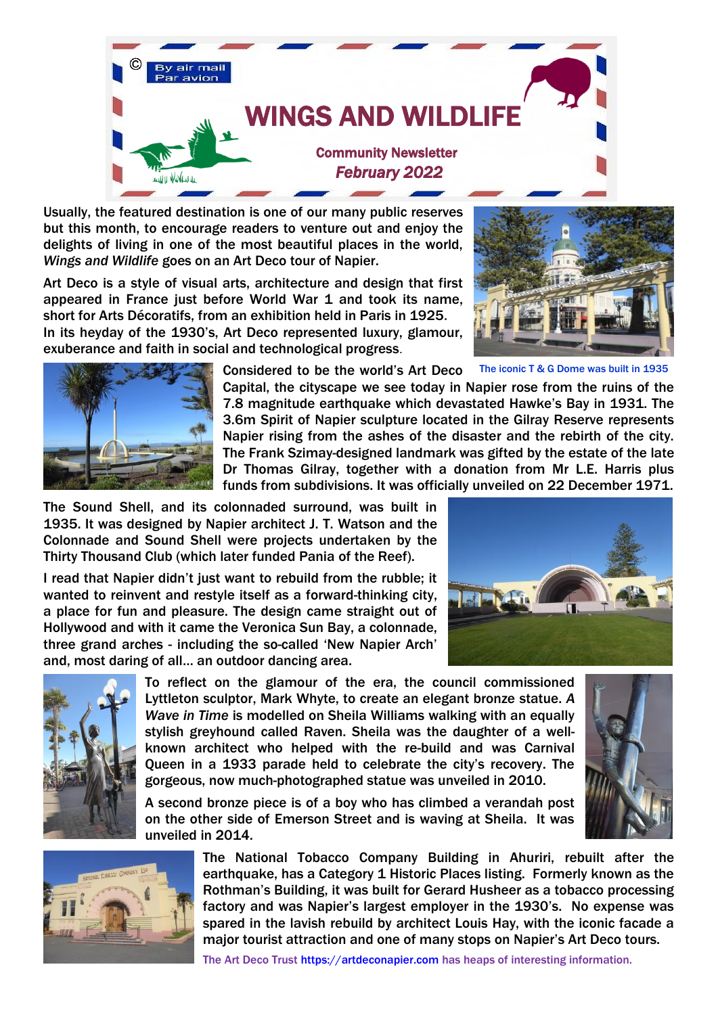

Usually, the featured destination is one of our many public reserves but this month, to encourage readers to venture out and enjoy the delights of living in one of the most beautiful places in the world, *Wings and Wildlife* goes on an Art Deco tour of Napier.

Art Deco is a style of visual arts, architecture and design that first appeared in France just before World War 1 and took its name, short for Arts Décoratifs, from an exhibition held in Paris in 1925. In its heyday of the 1930's, Art Deco represented luxury, glamour, exuberance and faith in social and technological progress.





Considered to be the world's Art Deco

Capital, the cityscape we see today in Napier rose from the ruins of the 7.8 magnitude earthquake which devastated Hawke's Bay in 1931. The 3.6m Spirit of Napier sculpture located in the Gilray Reserve represents Napier rising from the ashes of the disaster and the rebirth of the city. The Frank Szimay-designed landmark was gifted by the estate of the late Dr Thomas Gilray, together with a donation from Mr L.E. Harris plus funds from subdivisions. It was officially unveiled on 22 December 1971.

The Sound Shell, and its colonnaded surround, was built in 1935. It was designed by Napier architect J. T. Watson and the Colonnade and Sound Shell were projects undertaken by the Thirty Thousand Club (which later funded Pania of the Reef).

I read that Napier didn't just want to rebuild from the rubble; it wanted to reinvent and restyle itself as a forward-thinking city, a place for fun and pleasure. The design came straight out of Hollywood and with it came the Veronica Sun Bay, a colonnade, three grand arches - including the so-called 'New Napier Arch' and, most daring of all… an outdoor dancing area.

unveiled in 2014.



To reflect on the glamour of the era, the council commissioned Lyttleton sculptor, Mark Whyte, to create an elegant bronze statue. *A Wave in Time* is modelled on Sheila Williams walking with an equally stylish greyhound called Raven. Sheila was the daughter of a wellknown architect who helped with the re-build and was Carnival Queen in a 1933 parade held to celebrate the city's recovery. The gorgeous, now much-photographed statue was unveiled in 2010.

A second bronze piece is of a boy who has climbed a verandah post on the other side of Emerson Street and is waving at Sheila. It was





The National Tobacco Company Building in Ahuriri, rebuilt after the earthquake, has a Category 1 Historic Places listing. Formerly known as the Rothman's Building, it was built for Gerard Husheer as a tobacco processing factory and was Napier's largest employer in the 1930's. No expense was spared in the lavish rebuild by architect Louis Hay, with the iconic facade a major tourist attraction and one of many stops on Napier's Art Deco tours.

The Art Deco Trust [https://artdeconapier.com](https://artdeconapier.com/) has heaps of interesting information.

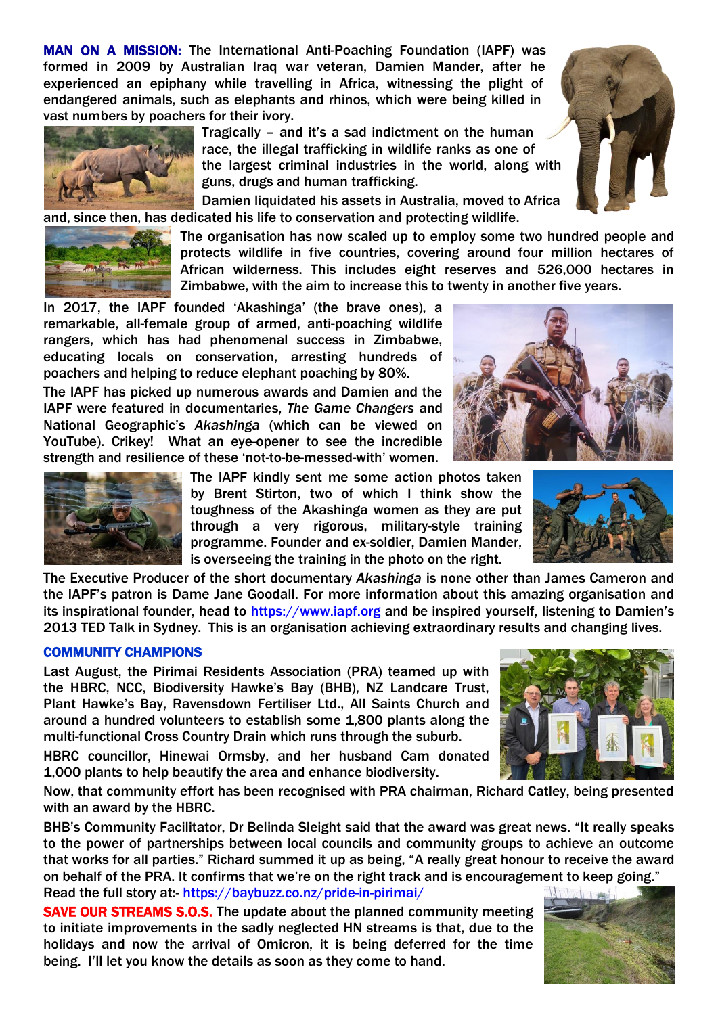MAN ON A MISSION: The International Anti-Poaching Foundation (IAPF) was formed in 2009 by Australian Iraq war veteran, Damien Mander, after he experienced an epiphany while travelling in Africa, witnessing the plight of endangered animals, such as elephants and rhinos, which were being killed in vast numbers by poachers for their ivory.

> Tragically – and it's a sad indictment on the human race, the illegal trafficking in wildlife ranks as one of the largest criminal industries in the world, along with guns, drugs and human trafficking.

Damien liquidated his assets in Australia, moved to Africa and, since then, has dedicated his life to conservation and protecting wildlife.

> The organisation has now scaled up to employ some two hundred people and protects wildlife in five countries, covering around four million hectares of African wilderness. This includes eight reserves and 526,000 hectares in Zimbabwe, with the aim to increase this to twenty in another five years.

In 2017, the IAPF founded 'Akashinga' (the brave ones), a remarkable, all-female group of armed, anti-poaching wildlife rangers, which has had phenomenal success in Zimbabwe, educating locals on conservation, arresting hundreds of poachers and helping to reduce elephant poaching by 80%.

The IAPF has picked up numerous awards and Damien and the IAPF were featured in documentaries, *The Game Changers* and National Geographic's *Akashinga* (which can be viewed on YouTube). Crikey! What an eye-opener to see the incredible strength and resilience of these 'not-to-be-messed-with' women.

> The IAPF kindly sent me some action photos taken by Brent Stirton, two of which I think show the toughness of the Akashinga women as they are put through a very rigorous, military-style training programme. Founder and ex-soldier, Damien Mander, is overseeing the training in the photo on the right.

The Executive Producer of the short documentary *Akashinga* is none other than James Cameron and the IAPF's patron is Dame Jane Goodall. For more information about this amazing organisation and its inspirational founder, head to [https://www.iapf.org](https://www.iapf.org/) and be inspired yourself, listening to Damien's 2013 TED Talk in Sydney. This is an organisation achieving extraordinary results and changing lives.

## COMMUNITY CHAMPIONS

Last August, the Pirimai Residents Association (PRA) teamed up with the HBRC, NCC, Biodiversity Hawke's Bay (BHB), NZ Landcare Trust, Plant Hawke's Bay, Ravensdown Fertiliser Ltd., All Saints Church and around a hundred volunteers to establish some 1,800 plants along the multi-functional Cross Country Drain which runs through the suburb.

HBRC councillor, Hinewai Ormsby, and her husband Cam donated 1,000 plants to help beautify the area and enhance biodiversity.

Now, that community effort has been recognised with PRA chairman, Richard Catley, being presented with an award by the HBRC.

BHB's Community Facilitator, Dr Belinda Sleight said that the award was great news. "It really speaks to the power of partnerships between local councils and community groups to achieve an outcome that works for all parties." Richard summed it up as being, "A really great honour to receive the award on behalf of the PRA. It confirms that we're on the right track and is encouragement to keep going." Read the full story at:- <https://baybuzz.co.nz/pride-in-pirimai/>

SAVE OUR STREAMS S.O.S. The update about the planned community meeting to initiate improvements in the sadly neglected HN streams is that, due to the holidays and now the arrival of Omicron, it is being deferred for the time being. I'll let you know the details as soon as they come to hand.











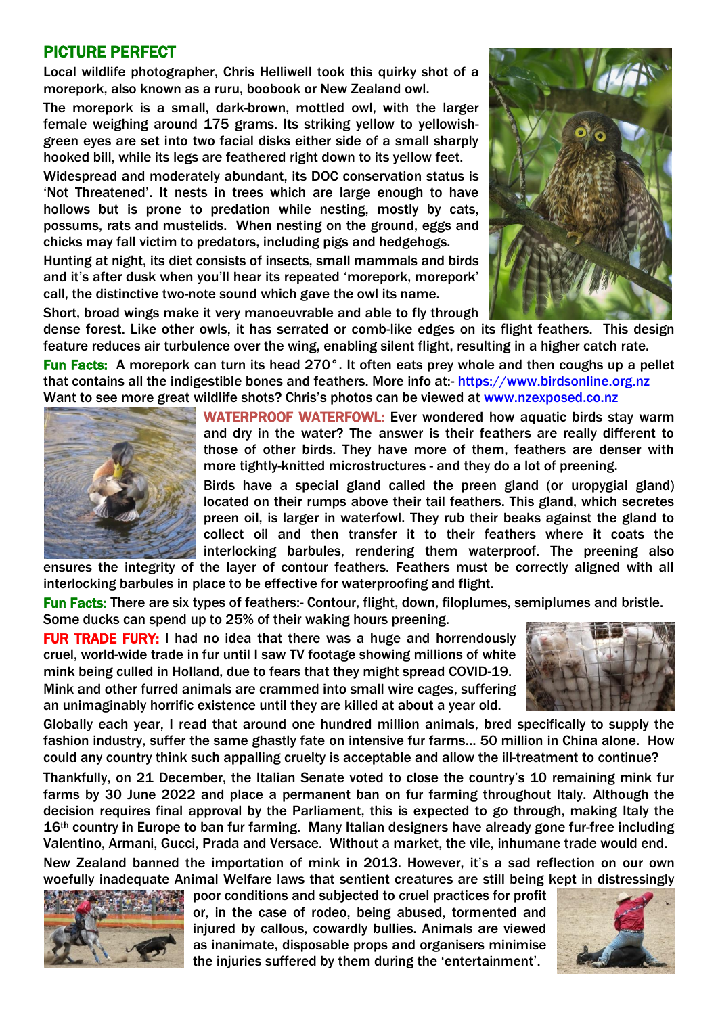## PICTURE PERFECT

Local wildlife photographer, Chris Helliwell took this quirky shot of a morepork, also known as a ruru, boobook or New Zealand owl.

The morepork is a small, dark-brown, mottled owl, with the larger female weighing around 175 grams. Its striking yellow to yellowishgreen eyes are set into two facial disks either side of a small sharply hooked bill, while its legs are feathered right down to its yellow feet.

Widespread and moderately abundant, its DOC conservation status is 'Not Threatened'. It nests in trees which are large enough to have hollows but is prone to predation while nesting, mostly by cats, possums, rats and mustelids. When nesting on the ground, eggs and chicks may fall victim to predators, including pigs and hedgehogs.

Hunting at night, its diet consists of insects, small mammals and birds and it's after dusk when you'll hear its repeated 'morepork, morepork' call, the distinctive two-note sound which gave the owl its name.

Short, broad wings make it very manoeuvrable and able to fly through



dense forest. Like other owls, it has serrated or comb-like edges on its flight feathers. This design feature reduces air turbulence over the wing, enabling silent flight, resulting in a higher catch rate.

Fun Facts: A morepork can turn its head 270°. It often eats prey whole and then coughs up a pellet that contains all the indigestible bones and feathers. More info at:- [https://www.birdsonline.org.nz](https://www.birdsonline.org.nz/) Want to see more great wildlife shots? Chris's photos can be viewed at [www.nzexposed.co.nz](http://www.nzexposed.co.nz/)



WATERPROOF WATERFOWL: Ever wondered how aquatic birds stay warm and dry in the water? The answer is their feathers are really different to those of other birds. They have more of them, feathers are denser with more tightly-knitted microstructures - and they do a lot of preening.

Birds have a special gland called the preen gland (or uropygial gland) located on their rumps above their tail feathers. This gland, which secretes preen oil, is larger in waterfowl. They rub their beaks against the gland to collect oil and then transfer it to their feathers where it coats the interlocking barbules, rendering them waterproof. The preening also

ensures the integrity of the layer of contour feathers. Feathers must be correctly aligned with all interlocking barbules in place to be effective for waterproofing and flight.

Fun Facts: There are six types of feathers:- Contour, flight, down, filoplumes, semiplumes and bristle. Some ducks can spend up to 25% of their waking hours preening.

FUR TRADE FURY: I had no idea that there was a huge and horrendously cruel, world-wide trade in fur until I saw TV footage showing millions of white mink being culled in Holland, due to fears that they might spread COVID-19. Mink and other furred animals are crammed into small wire cages, suffering an unimaginably horrific existence until they are killed at about a year old.



Globally each year, I read that around one hundred million animals, bred specifically to supply the fashion industry, suffer the same ghastly fate on intensive fur farms… 50 million in China alone. How could any country think such appalling cruelty is acceptable and allow the ill-treatment to continue?

Thankfully, on 21 December, the Italian Senate voted to close the country's 10 remaining mink fur farms by 30 June 2022 and place a permanent ban on fur farming throughout Italy. Although the decision requires final approval by the Parliament, this is expected to go through, making Italy the 16<sup>th</sup> country in Europe to ban fur farming. Many Italian designers have already gone fur-free including Valentino, Armani, Gucci, Prada and Versace. Without a market, the vile, inhumane trade would end.

New Zealand banned the importation of mink in 2013. However, it's a sad reflection on our own woefully inadequate Animal Welfare laws that sentient creatures are still being kept in distressingly



poor conditions and subjected to cruel practices for profit or, in the case of rodeo, being abused, tormented and injured by callous, cowardly bullies. Animals are viewed as inanimate, disposable props and organisers minimise the injuries suffered by them during the 'entertainment'.